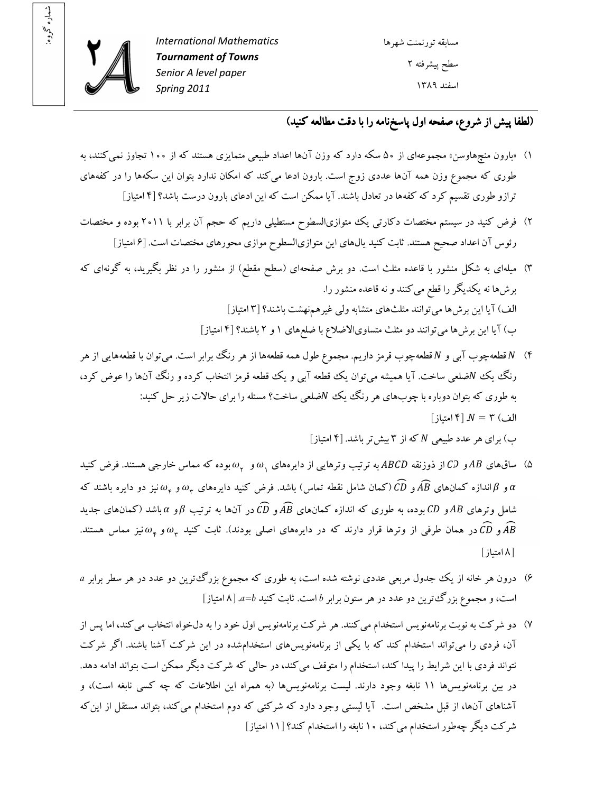

شماره گروه: شماره گروه:

## (لطفا پيش از شروع، صفحه اول پاسخ نامه را با دقت مطالعه کنيد)

- )۱ «بارون منچهاوسن » مجموعه از اي ۵۰ سکه دارد که وزن ها آن اعداد طبيعي متمايزي هستند از که ۱۰۰ تجاوز نميکنند، به طوری که مجموع وزن همه آنها عددی زوج است. بارون ادعا میکند که امکان ندارد بتوان این سکهها را در کفههای ترازو طوري تقسيم کرد که کفهها در تعادل باشند. آيا ممکن است که اين ادعاي بارون درست باشد؟ [۴ امتياز]
- ۲) فرض کنيد در سيستم مختصات دکارتي يک متوازىالسطوح مستطيلي داريم که حجم آن برابر با ۲۰۱۱ بوده و مختصات رئوس آن اعداد صحيح هستند. ثابت كنيد يال1هاى اين متوازىالسطوح موازى محورهاى مختصات است. [۶ امتياز]
- ۳) ميلهاى به شکل منشور با قاعده مثلث است. دو برش صفحهاى (سطح مقطع) از منشور را در نظر بگيريد، به گونهاى که ها برش نه يکديگر را قطع ميکنند و نه قاعده منشور را. الف) آيا اين برشها مي توانند مثلثهاى متشابه ولي غيرهم نهشت باشند؟ [٣ امتياز] ب) آيا اين برش ها مي توانند دو مثلث متساوىالاضلاع با ضلع هاى ١ و ٢ باشند؟ [۴ امتياز]
- )۴ قطعهچوب آب و ي قطعهچوب قرمز داريم. مجموع طول همه قطعهها از هر رنگ برابر است. يم توان با قطعهها يي از هر رنگ يک Nضلعي ساخت. آيا هميشه مي توان يک قطعه آبي و يک قطعه قرمز انتخاب کرده و رنگ آنها را عوض کرد، به طوري كه بتوان دوباره با چوبهاي هر رنگ يك Nضلعي ساخت؟ مسئله را براي حالات زير حل كنيد:  $N = N$  | ۴| امتياز] ب) برای هر عدد طبيعي N که از ٣ بيش تر باشد. [۴ امتياز]
- ۵) ساق $d$ های  $AB$ و  $CD$ از ذوزنقه  $ABC$ به ترتيب وترهايی از دايرههای  $\omega_{\gamma}$  و  $\omega_{\gamma}$ بوده که مماس خارجی هستند. فرض کنيد و  $\alpha$ اندازه کمانهای  $AB$ و (CD (کمان شامل نقطه تماس) باشد. فرض کنید دایرههای  $\omega_{\tau}$ و  $\omega_{\tau}$  نیز دو دایره باشند که  $\alpha$ شامل وترهای  $AB$ و CD بوده، به طوری که اندازه کمانهای  $AB$ و CD در آنها به ترتیب  $\beta$ و  $\alpha$  باشد (کمانهای جدید  $\omega$  و  $CD$  در همان طرفی از وترها قرار دارند که در دايرههای اصلی بودند). ثابت کنيد  $\omega_{\tau}$  و پ $\omega$  نيز مماس هستند. ۸[ امتياز]
- )۶ درون هر از خانه يک جدول مربعي عددي نوشته شده است، به طوري که مجموع بزرگترين دو عدد هر در سطر برابر *a* است، و مجموع بزرگترين دو عدد هر در ستون برابر *b* است. ثابت کنيد *b=a* ۸ ]. امتياز]
- )۷ دو شرکت به نوبت برنامهنويس استخدام ميکنند. هر شرکت برنامهنويس اول خود را به دلخواه انتخاب ميکند، اما پس از آن، فردي را ميتواند استخدام کند که با يکي از برنامهنويسهاي استخدامشده در اين شرکت آشنا باشند. اگر شرکت نتواند فردي با اين شرايط را پيدا کند، استخدام را متوقف ميکند، در حالي که شرکت ديگر ممکن است بتواند ادامه دهد. در بين برنامهنويسها ۱۱ نابغه وجود دارند. ليست برنامهنويسها (به همراه اين اطلاعات که چه کسي نابغه است)، و آشناهاي آنها، از قبل مشخص است. آيا ليستي وجود دارد که شرکتي که دوم استخدام مي کند، بتواند مستقل از اين که شرکت ديگر چهطور استخدام ميکند، ۱۰ نابغه را استخدام کند؟ [۱۱ امتياز]